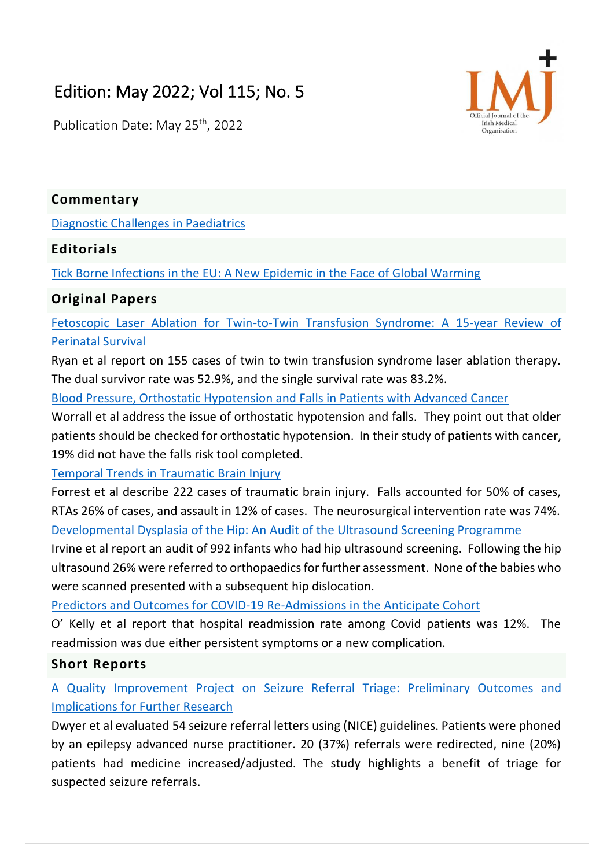# Edition: May 2022; Vol 115; No. 5

Publication Date: May 25<sup>th</sup>, 2022



### **Commentary**

[Diagnostic Challenges in Paediatrics](https://imj.ie/diagnostic-challenges-in-paediatrics/)

## **Editorials**

[Tick Borne Infections in the EU: A New Epidemic in the Face of Global Warming](https://imj.ie/tick-borne-infections-in-the-eu-a-new-epidemic-in-the-face-of-global-warming/)

# **Original Papers**

[Fetoscopic Laser Ablation for Twin-to-Twin Transfusion Syndrome: A 15-year Review of](https://imj.ie/fetoscopic-laser-ablation-for-twin-to-twin-transfusion-syndrome-a-15-year-review-of-perinatal-survival/)  [Perinatal Survival](https://imj.ie/fetoscopic-laser-ablation-for-twin-to-twin-transfusion-syndrome-a-15-year-review-of-perinatal-survival/)

Ryan et al report on 155 cases of twin to twin transfusion syndrome laser ablation therapy. The dual survivor rate was 52.9%, and the single survival rate was 83.2%.

[Blood Pressure, Orthostatic Hypotension and Falls in Patients with Advanced Cancer](https://imj.ie/blood-pressure-orthostatic-hypotension-and-falls-in-patients-with-advanced-cancer/)

Worrall et al address the issue of orthostatic hypotension and falls. They point out that older patients should be checked for orthostatic hypotension. In their study of patients with cancer, 19% did not have the falls risk tool completed.

[Temporal Trends in Traumatic Brain Injury](https://imj.ie/temporal-trends-in-traumatic-brain-injury/)

Forrest et al describe 222 cases of traumatic brain injury. Falls accounted for 50% of cases, RTAs 26% of cases, and assault in 12% of cases. The neurosurgical intervention rate was 74%. [Developmental Dysplasia of the Hip: An Audit of the Ultrasound Screening Programme](https://imj.ie/developmental-dysplasia-of-the-hip-an-audit-of-the-ultrasound-screening-programme/)

Irvine et al report an audit of 992 infants who had hip ultrasound screening. Following the hip ultrasound 26% were referred to orthopaedics for further assessment. None of the babies who were scanned presented with a subsequent hip dislocation.

[Predictors and Outcomes for COVID-19 Re-Admissions in the Anticipate Cohort](https://imj.ie/predictors-and-outcomes-for-covid-19-re-admissions-in-the-anticipate-cohort/)

O' Kelly et al report that hospital readmission rate among Covid patients was 12%. The readmission was due either persistent symptoms or a new complication.

## **Short Reports**

# [A Quality Improvement Project on Seizure Referral Triage: Preliminary Outcomes and](https://imj.ie/a-quality-improvement-project-on-seizure-referral-triage-preliminary-outcomes-and-implications-for-further-research/)  [Implications for Further Research](https://imj.ie/a-quality-improvement-project-on-seizure-referral-triage-preliminary-outcomes-and-implications-for-further-research/)

Dwyer et al evaluated 54 seizure referral letters using (NICE) guidelines. Patients were phoned by an epilepsy advanced nurse practitioner. 20 (37%) referrals were redirected, nine (20%) patients had medicine increased/adjusted. The study highlights a benefit of triage for suspected seizure referrals.